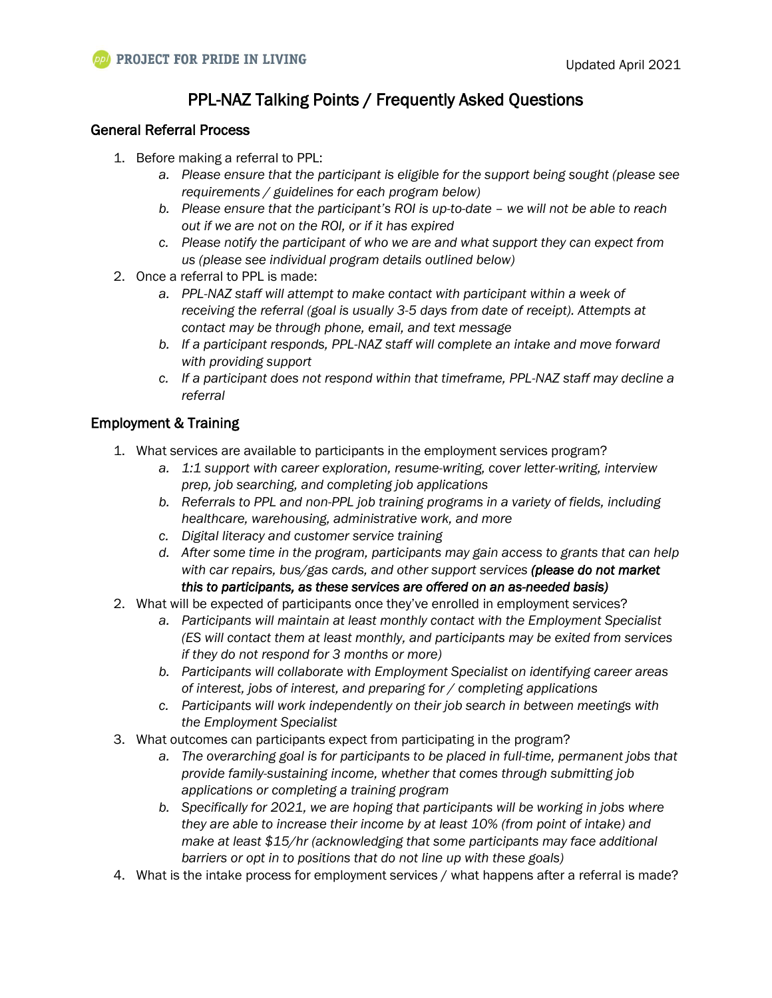# PPL-NAZ Talking Points / Frequently Asked Questions

# General Referral Process

- 1. Before making a referral to PPL:
	- *a. Please ensure that the participant is eligible for the support being sought (please see requirements / guidelines for each program below)*
	- *b. Please ensure that the participant's ROI is up-to-date – we will not be able to reach out if we are not on the ROI, or if it has expired*
	- *c. Please notify the participant of who we are and what support they can expect from us (please see individual program details outlined below)*
- 2. Once a referral to PPL is made:
	- *a. PPL-NAZ staff will attempt to make contact with participant within a week of receiving the referral (goal is usually 3-5 days from date of receipt). Attempts at contact may be through phone, email, and text message*
	- *b. If a participant responds, PPL-NAZ staff will complete an intake and move forward with providing support*
	- *c. If a participant does not respond within that timeframe, PPL-NAZ staff may decline a referral*

# Employment & Training

- 1. What services are available to participants in the employment services program?
	- *a. 1:1 support with career exploration, resume-writing, cover letter-writing, interview prep, job searching, and completing job applications*
	- *b. Referrals to PPL and non-PPL job training programs in a variety of fields, including healthcare, warehousing, administrative work, and more*
	- *c. Digital literacy and customer service training*
	- *d. After some time in the program, participants may gain access to grants that can help with car repairs, bus/gas cards, and other support services (please do not market this to participants, as these services are offered on an as-needed basis)*
- 2. What will be expected of participants once they've enrolled in employment services?
	- *a. Participants will maintain at least monthly contact with the Employment Specialist (ES will contact them at least monthly, and participants may be exited from services if they do not respond for 3 months or more)*
	- *b. Participants will collaborate with Employment Specialist on identifying career areas of interest, jobs of interest, and preparing for / completing applications*
	- *c. Participants will work independently on their job search in between meetings with the Employment Specialist*
- 3. What outcomes can participants expect from participating in the program?
	- *a. The overarching goal is for participants to be placed in full-time, permanent jobs that provide family-sustaining income, whether that comes through submitting job applications or completing a training program*
	- *b. Specifically for 2021, we are hoping that participants will be working in jobs where they are able to increase their income by at least 10% (from point of intake) and make at least \$15/hr (acknowledging that some participants may face additional barriers or opt in to positions that do not line up with these goals)*
- 4. What is the intake process for employment services / what happens after a referral is made?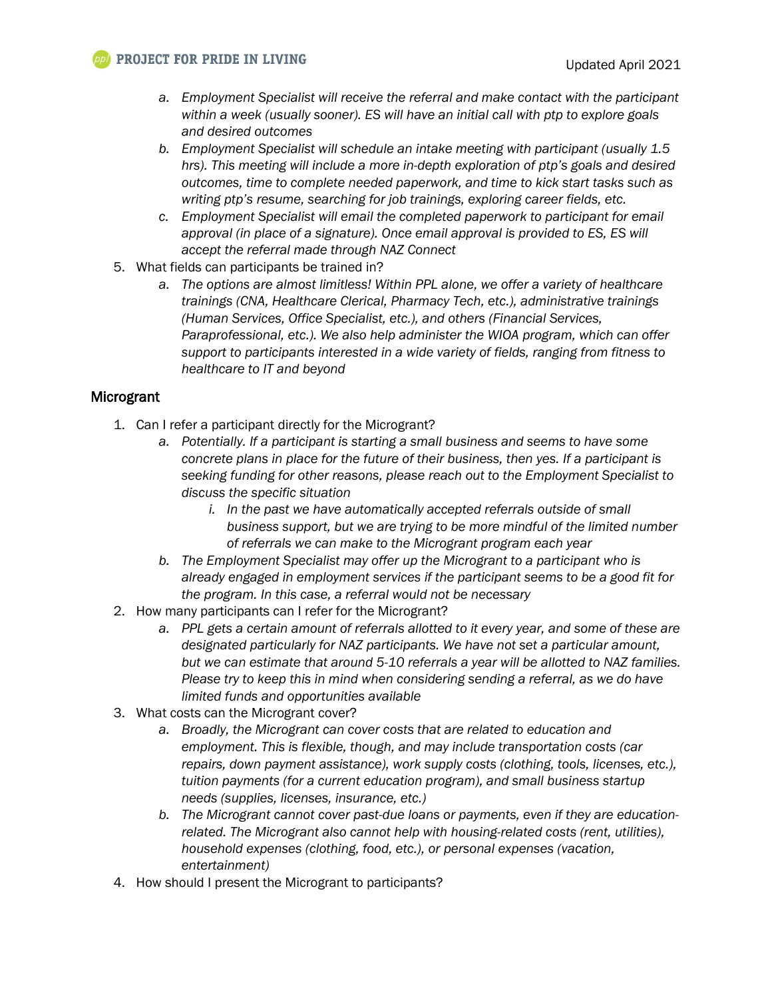- *a. Employment Specialist will receive the referral and make contact with the participant within a week (usually sooner). ES will have an initial call with ptp to explore goals and desired outcomes*
- *b. Employment Specialist will schedule an intake meeting with participant (usually 1.5 hrs). This meeting will include a more in-depth exploration of ptp's goals and desired outcomes, time to complete needed paperwork, and time to kick start tasks such as writing ptp's resume, searching for job trainings, exploring career fields, etc.*
- *c. Employment Specialist will email the completed paperwork to participant for email approval (in place of a signature). Once email approval is provided to ES, ES will accept the referral made through NAZ Connect*
- 5. What fields can participants be trained in?
	- *a. The options are almost limitless! Within PPL alone, we offer a variety of healthcare trainings (CNA, Healthcare Clerical, Pharmacy Tech, etc.), administrative trainings (Human Services, Office Specialist, etc.), and others (Financial Services, Paraprofessional, etc.). We also help administer the WIOA program, which can offer support to participants interested in a wide variety of fields, ranging from fitness to healthcare to IT and beyond*

# Microgrant

- 1. Can I refer a participant directly for the Microgrant?
	- *a. Potentially. If a participant is starting a small business and seems to have some concrete plans in place for the future of their business, then yes. If a participant is seeking funding for other reasons, please reach out to the Employment Specialist to discuss the specific situation*
		- *i. In the past we have automatically accepted referrals outside of small business support, but we are trying to be more mindful of the limited number of referrals we can make to the Microgrant program each year*
	- *b. The Employment Specialist may offer up the Microgrant to a participant who is already engaged in employment services if the participant seems to be a good fit for the program. In this case, a referral would not be necessary*
- 2. How many participants can I refer for the Microgrant?
	- *a. PPL gets a certain amount of referrals allotted to it every year, and some of these are designated particularly for NAZ participants. We have not set a particular amount, but we can estimate that around 5-10 referrals a year will be allotted to NAZ families. Please try to keep this in mind when considering sending a referral, as we do have limited funds and opportunities available*
- 3. What costs can the Microgrant cover?
	- *a. Broadly, the Microgrant can cover costs that are related to education and employment. This is flexible, though, and may include transportation costs (car repairs, down payment assistance), work supply costs (clothing, tools, licenses, etc.), tuition payments (for a current education program), and small business startup needs (supplies, licenses, insurance, etc.)*
	- *b. The Microgrant cannot cover past-due loans or payments, even if they are educationrelated. The Microgrant also cannot help with housing-related costs (rent, utilities), household expenses (clothing, food, etc.), or personal expenses (vacation, entertainment)*
- 4. How should I present the Microgrant to participants?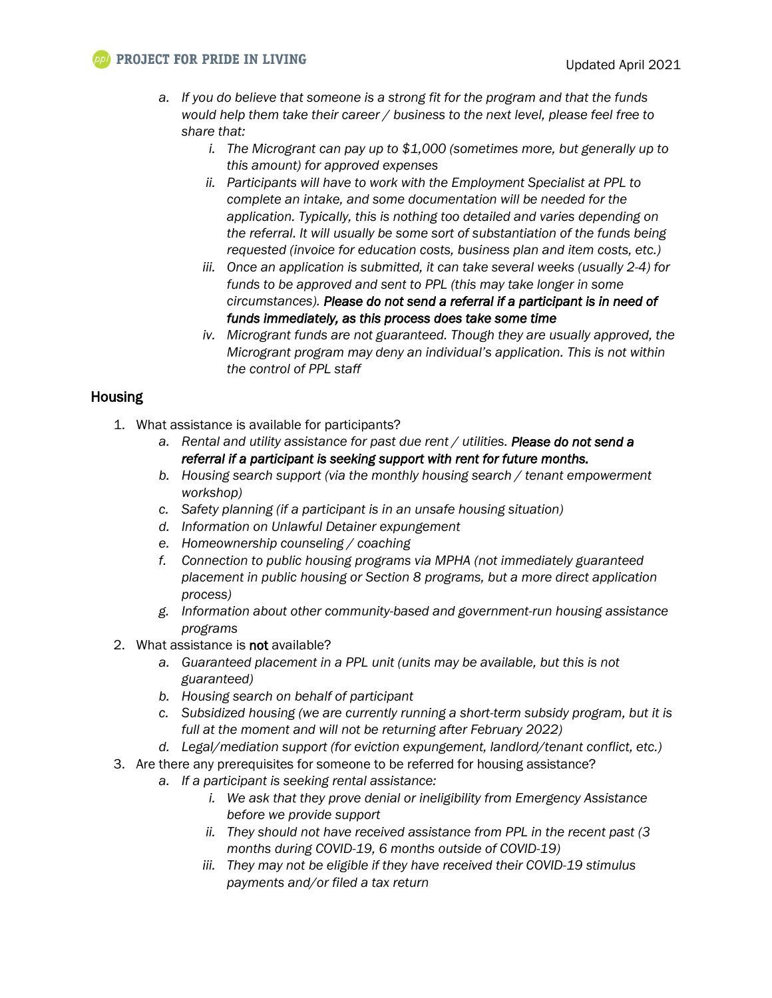## **PPI** PROJECT FOR PRIDE IN LIVING

- *a. If you do believe that someone is a strong fit for the program and that the funds would help them take their career / business to the next level, please feel free to share that:*
	- *i. The Microgrant can pay up to \$1,000 (sometimes more, but generally up to this amount) for approved expenses*
	- *ii. Participants will have to work with the Employment Specialist at PPL to complete an intake, and some documentation will be needed for the application. Typically, this is nothing too detailed and varies depending on the referral. It will usually be some sort of substantiation of the funds being requested (invoice for education costs, business plan and item costs, etc.)*
	- *iii. Once an application is submitted, it can take several weeks (usually 2-4) for funds to be approved and sent to PPL (this may take longer in some circumstances). Please do not send a referral if a participant is in need of funds immediately, as this process does take some time*
	- *iv. Microgrant funds are not guaranteed. Though they are usually approved, the Microgrant program may deny an individual's application. This is not within the control of PPL staff*

#### **Housing**

- 1. What assistance is available for participants?
	- *a. Rental and utility assistance for past due rent / utilities. Please do not send a referral if a participant is seeking support with rent for future months.*
	- *b. Housing search support (via the monthly housing search / tenant empowerment workshop)*
	- *c. Safety planning (if a participant is in an unsafe housing situation)*
	- *d. Information on Unlawful Detainer expungement*
	- *e. Homeownership counseling / coaching*
	- *f. Connection to public housing programs via MPHA (not immediately guaranteed placement in public housing or Section 8 programs, but a more direct application process)*
	- *g. Information about other community-based and government-run housing assistance programs*
- 2. What assistance is not available?
	- *a. Guaranteed placement in a PPL unit (units may be available, but this is not guaranteed)*
	- *b. Housing search on behalf of participant*
	- *c. Subsidized housing (we are currently running a short-term subsidy program, but it is full at the moment and will not be returning after February 2022)*
	- *d. Legal/mediation support (for eviction expungement, landlord/tenant conflict, etc.)*
- 3. Are there any prerequisites for someone to be referred for housing assistance?
	- *a. If a participant is seeking rental assistance:*
		- *i. We ask that they prove denial or ineligibility from Emergency Assistance before we provide support*
		- *ii. They should not have received assistance from PPL in the recent past (3 months during COVID-19, 6 months outside of COVID-19)*
		- *iii. They may not be eligible if they have received their COVID-19 stimulus payments and/or filed a tax return*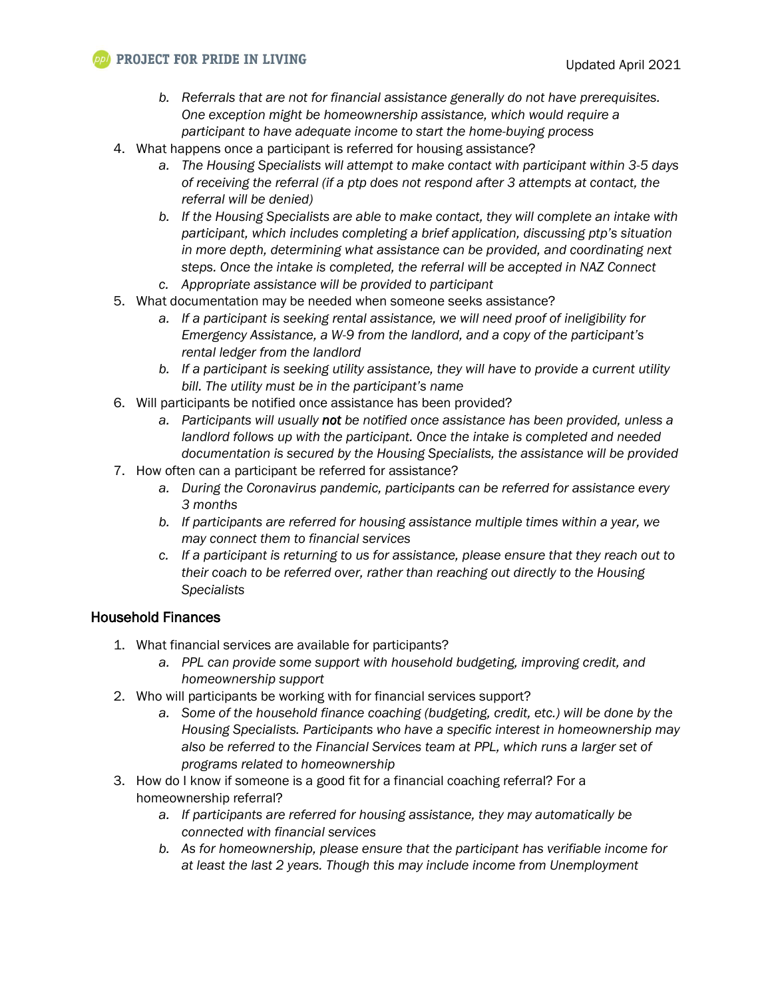#### **PPI** PROJECT FOR PRIDE IN LIVING

- *b. Referrals that are not for financial assistance generally do not have prerequisites. One exception might be homeownership assistance, which would require a participant to have adequate income to start the home-buying process*
- 4. What happens once a participant is referred for housing assistance?
	- *a. The Housing Specialists will attempt to make contact with participant within 3-5 days of receiving the referral (if a ptp does not respond after 3 attempts at contact, the referral will be denied)*
	- *b. If the Housing Specialists are able to make contact, they will complete an intake with participant, which includes completing a brief application, discussing ptp's situation in more depth, determining what assistance can be provided, and coordinating next steps. Once the intake is completed, the referral will be accepted in NAZ Connect*
	- *c. Appropriate assistance will be provided to participant*
- 5. What documentation may be needed when someone seeks assistance?
	- *a. If a participant is seeking rental assistance, we will need proof of ineligibility for Emergency Assistance, a W-9 from the landlord, and a copy of the participant's rental ledger from the landlord*
	- *b. If a participant is seeking utility assistance, they will have to provide a current utility bill. The utility must be in the participant's name*
- 6. Will participants be notified once assistance has been provided?
	- *a. Participants will usually not be notified once assistance has been provided, unless a landlord follows up with the participant. Once the intake is completed and needed documentation is secured by the Housing Specialists, the assistance will be provided*
- 7. How often can a participant be referred for assistance?
	- *a. During the Coronavirus pandemic, participants can be referred for assistance every 3 months*
	- *b. If participants are referred for housing assistance multiple times within a year, we may connect them to financial services*
	- *c. If a participant is returning to us for assistance, please ensure that they reach out to their coach to be referred over, rather than reaching out directly to the Housing Specialists*

#### Household Finances

- 1. What financial services are available for participants?
	- *a. PPL can provide some support with household budgeting, improving credit, and homeownership support*
- 2. Who will participants be working with for financial services support?
	- *a. Some of the household finance coaching (budgeting, credit, etc.) will be done by the Housing Specialists. Participants who have a specific interest in homeownership may also be referred to the Financial Services team at PPL, which runs a larger set of programs related to homeownership*
- 3. How do I know if someone is a good fit for a financial coaching referral? For a homeownership referral?
	- *a. If participants are referred for housing assistance, they may automatically be connected with financial services*
	- *b. As for homeownership, please ensure that the participant has verifiable income for at least the last 2 years. Though this may include income from Unemployment*